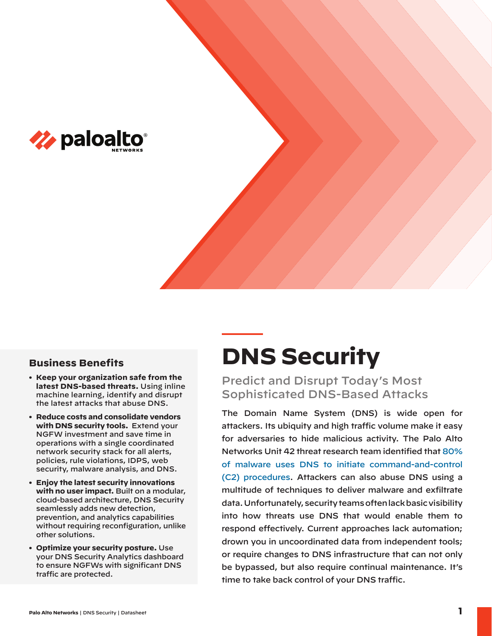

## **Business Benefits**

- **• Keep your organization safe from the latest DNS-based threats.** Using inline machine learning, identify and disrupt the latest attacks that abuse DNS.
- **• Reduce costs and consolidate vendors with DNS security tools.** Extend your NGFW investment and save time in operations with a single coordinated network security stack for all alerts, policies, rule violations, IDPS, web security, malware analysis, and DNS.
- **• Enjoy the latest security innovations with no user impact.** Built on a modular, cloud-based architecture, DNS Security seamlessly adds new detection, prevention, and analytics capabilities without requiring reconfiguration, unlike other solutions.
- **• Optimize your security posture.** Use your DNS Security Analytics dashboard to ensure NGFWs with significant DNS traffic are protected.

# **DNS Security**

Predict and Disrupt Today's Most Sophisticated DNS-Based Attacks

The Domain Name System (DNS) is wide open for attackers. Its ubiquity and high traffic volume make it easy for adversaries to hide malicious activity. The Palo Alto [Networks Unit 42 threat research team identified that 80%](https://www.paloaltonetworks.com/resources/whitepapers/stop-attackers-from-using-dns-against-you)  of malware uses DNS to initiate command-and-control (C2) procedures. Attackers can also abuse DNS using a multitude of techniques to deliver malware and exfiltrate data. Unfortunately, security teams often lack basic visibility into how threats use DNS that would enable them to respond effectively. Current approaches lack automation; drown you in uncoordinated data from independent tools; or require changes to DNS infrastructure that can not only be bypassed, but also require continual maintenance. It's time to take back control of your DNS traffic.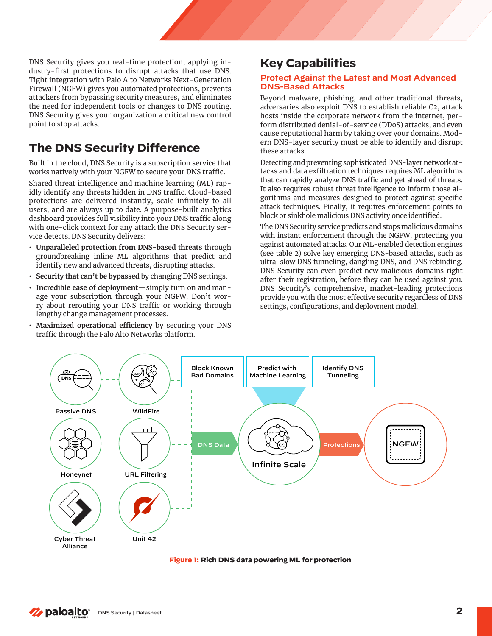DNS Security gives you real-time protection, applying industry-first protections to disrupt attacks that use DNS. Tight integration with Palo Alto Networks Next-Generation Firewall (NGFW) gives you automated protections, prevents attackers from bypassing security measures, and eliminates the need for independent tools or changes to DNS routing. DNS Security gives your organization a critical new control point to stop attacks.

# **The DNS Security Difference**

Built in the cloud, DNS Security is a subscription service that works natively with your NGFW to secure your DNS traffic.

Shared threat intelligence and machine learning (ML) rapidly identify any threats hidden in DNS traffic. Cloud-based protections are delivered instantly, scale infinitely to all users, and are always up to date. A purpose-built analytics dashboard provides full visibility into your DNS traffic along with one-click context for any attack the DNS Security service detects. DNS Security delivers:

- **• Unparalleled protection from DNS-based threats** through groundbreaking inline ML algorithms that predict and identify new and advanced threats, disrupting attacks.
- **• Security that can't be bypassed** by changing DNS settings.
- **• Incredible ease of deployment**—simply turn on and manage your subscription through your NGFW. Don't worry about rerouting your DNS traffic or working through lengthy change management processes.
- **• Maximized operational efficiency** by securing your DNS traffic through the Palo Alto Networks platform.

## **Key Capabilities**

#### **Protect Against the Latest and Most Advanced DNS-Based Attacks**

Beyond malware, phishing, and other traditional threats, adversaries also exploit DNS to establish reliable C2, attack hosts inside the corporate network from the internet, perform distributed denial-of-service (DDoS) attacks, and even cause reputational harm by taking over your domains. Modern DNS-layer security must be able to identify and disrupt these attacks.

Detecting and preventing sophisticated DNS-layer network attacks and data exfiltration techniques requires ML algorithms that can rapidly analyze DNS traffic and get ahead of threats. It also requires robust threat intelligence to inform those algorithms and measures designed to protect against specific attack techniques. Finally, it requires enforcement points to block or sinkhole malicious DNS activity once identified.

The DNS Security service predicts and stops malicious domains with instant enforcement through the NGFW, protecting you against automated attacks. Our ML-enabled detection engines (see table 2) solve key emerging DNS-based attacks, such as ultra-slow DNS tunneling, dangling DNS, and DNS rebinding. DNS Security can even predict new malicious domains right after their registration, before they can be used against you. DNS Security's comprehensive, market-leading protections provide you with the most effective security regardless of DNS settings, configurations, and deployment model.



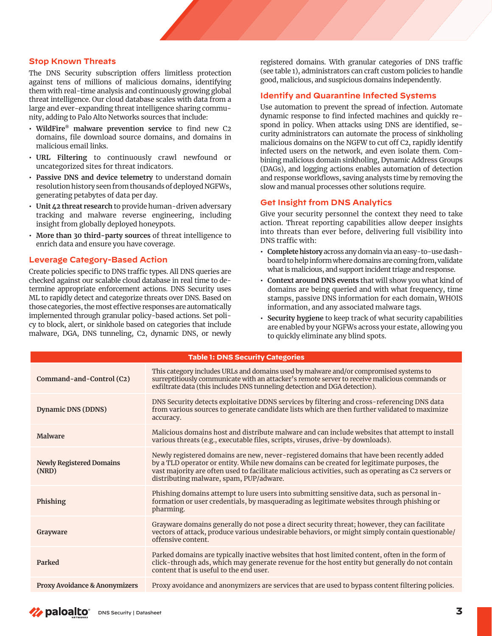#### **Stop Known Threats**

The DNS Security subscription offers limitless protection against tens of millions of malicious domains, identifying them with real-time analysis and continuously growing global threat intelligence. Our cloud database scales with data from a large and ever-expanding threat intelligence sharing community, adding to Palo Alto Networks sources that include:

- **• WildFire® malware prevention service** to find new C2 domains, file download source domains, and domains in malicious email links.
- **• URL Filtering** to continuously crawl newfound or uncategorized sites for threat indicators.
- **• Passive DNS and device telemetry** to understand domain resolution history seen from thousands of deployed NGFWs, generating petabytes of data per day.
- **• Unit 42 threat research** to provide human-driven adversary tracking and malware reverse engineering, including insight from globally deployed honeypots.
- **• More than 30 third-party sources** of threat intelligence to enrich data and ensure you have coverage.

#### **Leverage Category-Based Action**

Create policies specific to DNS traffic types. All DNS queries are checked against our scalable cloud database in real time to determine appropriate enforcement actions. DNS Security uses ML to rapidly detect and categorize threats over DNS. Based on those categories, the most effective responses are automatically implemented through granular policy-based actions. Set policy to block, alert, or sinkhole based on categories that include malware, DGA, DNS tunneling, C2, dynamic DNS, or newly

registered domains. With granular categories of DNS traffic (see table 1), administrators can craft custom policies to handle good, malicious, and suspicious domains independently.

#### **Identify and Quarantine Infected Systems**

Use automation to prevent the spread of infection. Automate dynamic response to find infected machines and quickly respond in policy. When attacks using DNS are identified, security administrators can automate the process of sinkholing malicious domains on the NGFW to cut off C2, rapidly identify infected users on the network, and even isolate them. Combining malicious domain sinkholing, Dynamic Address Groups (DAGs), and logging actions enables automation of detection and response workflows, saving analysts time by removing the slow and manual processes other solutions require.

#### **Get Insight from DNS Analytics**

Give your security personnel the context they need to take action. Threat reporting capabilities allow deeper insights into threats than ever before, delivering full visibility into DNS traffic with:

- **• Complete history** across any domain via an easy-to-use dashboard to help inform where domains are coming from, validate what is malicious, and support incident triage and response.
- **• Context around DNS events** that will show you what kind of domains are being queried and with what frequency, time stamps, passive DNS information for each domain, WHOIS information, and any associated malware tags.
- **• Security hygiene** to keep track of what security capabilities are enabled by your NGFWs across your estate, allowing you to quickly eliminate any blind spots.

| <b>Table 1: DNS Security Categories</b>  |                                                                                                                                                                                                                                                                                                                                          |  |
|------------------------------------------|------------------------------------------------------------------------------------------------------------------------------------------------------------------------------------------------------------------------------------------------------------------------------------------------------------------------------------------|--|
| Command-and-Control (C2)                 | This category includes URLs and domains used by malware and/or compromised systems to<br>surreptitiously communicate with an attacker's remote server to receive malicious commands or<br>exfiltrate data (this includes DNS tunneling detection and DGA detection).                                                                     |  |
| Dynamic DNS (DDNS)                       | DNS Security detects exploitative DDNS services by filtering and cross-referencing DNS data<br>from various sources to generate candidate lists which are then further validated to maximize<br>accuracy.                                                                                                                                |  |
| <b>Malware</b>                           | Malicious domains host and distribute malware and can include websites that attempt to install<br>various threats (e.g., executable files, scripts, viruses, drive-by downloads).                                                                                                                                                        |  |
| <b>Newly Registered Domains</b><br>(NRD) | Newly registered domains are new, never-registered domains that have been recently added<br>by a TLD operator or entity. While new domains can be created for legitimate purposes, the<br>vast majority are often used to facilitate malicious activities, such as operating as C2 servers or<br>distributing malware, spam, PUP/adware. |  |
| Phishing                                 | Phishing domains attempt to lure users into submitting sensitive data, such as personal in-<br>formation or user credentials, by masquerading as legitimate websites through phishing or<br>pharming.                                                                                                                                    |  |
| Grayware                                 | Grayware domains generally do not pose a direct security threat; however, they can facilitate<br>vectors of attack, produce various undesirable behaviors, or might simply contain questionable/<br>offensive content.                                                                                                                   |  |
| Parked                                   | Parked domains are typically inactive websites that host limited content, often in the form of<br>click-through ads, which may generate revenue for the host entity but generally do not contain<br>content that is useful to the end user.                                                                                              |  |
| <b>Proxy Avoidance &amp; Anonymizers</b> | Proxy avoidance and anonymizers are services that are used to bypass content filtering policies.                                                                                                                                                                                                                                         |  |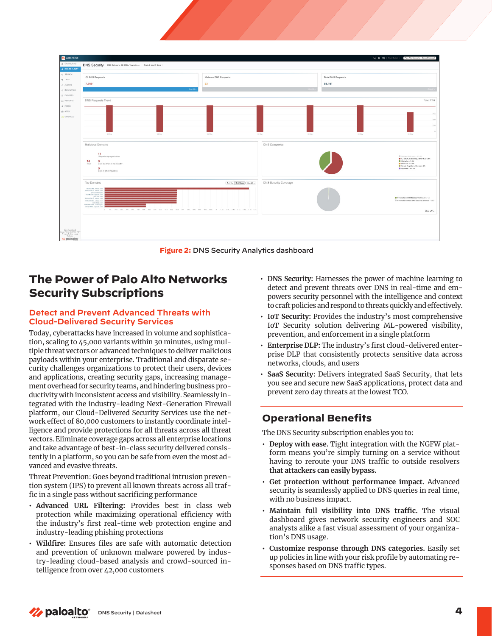

**Figure 2:** DNS Security Analytics dashboard

## **The Power of Palo Alto Networks Security Subscriptions**

### **Detect and Prevent Advanced Threats with Cloud-Delivered Security Services**

Today, cyberattacks have increased in volume and sophistication, scaling to 45,000 variants within 30 minutes, using multiple threat vectors or advanced techniques to deliver malicious payloads within your enterprise. Traditional and disparate security challenges organizations to protect their users, devices and applications, creating security gaps, increasing management overhead for security teams, and hindering business productivity with inconsistent access and visibility. Seamlessly integrated with the industry-leading Next-Generation Firewall platform, our Cloud-Delivered Security Services use the network effect of 80,000 customers to instantly coordinate intelligence and provide protections for all threats across all threat vectors. Eliminate coverage gaps across all enterprise locations and take advantage of best-in-class security delivered consistently in a platform, so you can be safe from even the most advanced and evasive threats.

Threat Prevention: Goes beyond traditional intrusion prevention system (IPS) to prevent all known threats across all traffic in a single pass without sacrificing performance

- **• Advanced URL Filtering:** Provides best in class web protection while maximizing operational efficiency with the industry's first real-time web protection engine and industry-leading phishing protections
- **• Wildfire:** Ensures files are safe with automatic detection and prevention of unknown malware powered by industry-leading cloud-based analysis and crowd-sourced intelligence from over 42,000 customers
- **• DNS Security:** Harnesses the power of machine learning to detect and prevent threats over DNS in real-time and empowers security personnel with the intelligence and context to craft policies and respond to threats quickly and effectively.
- **• IoT Security:** Provides the industry's most comprehensive IoT Security solution delivering ML-powered visibility, prevention, and enforcement in a single platform
- **• Enterprise DLP:** The industry's first cloud-delivered enterprise DLP that consistently protects sensitive data across networks, clouds, and users
- **• SaaS Security:** Delivers integrated SaaS Security, that lets you see and secure new SaaS applications, protect data and prevent zero day threats at the lowest TCO.

## **Operational Benefits**

The DNS Security subscription enables you to:

- **• Deploy with ease.** Tight integration with the NGFW platform means you're simply turning on a service without having to reroute your DNS traffic to outside resolvers **that attackers can easily bypass.**
- **• Get protection without performance impact.** Advanced security is seamlessly applied to DNS queries in real time, with no business impact.
- **• Maintain full visibility into DNS traffic.** The visual dashboard gives network security engineers and SOC analysts alike a fast visual assessment of your organization's DNS usage.
- **• Customize response through DNS categories.** Easily set up policies in line with your risk profile by automating responses based on DNS traffic types.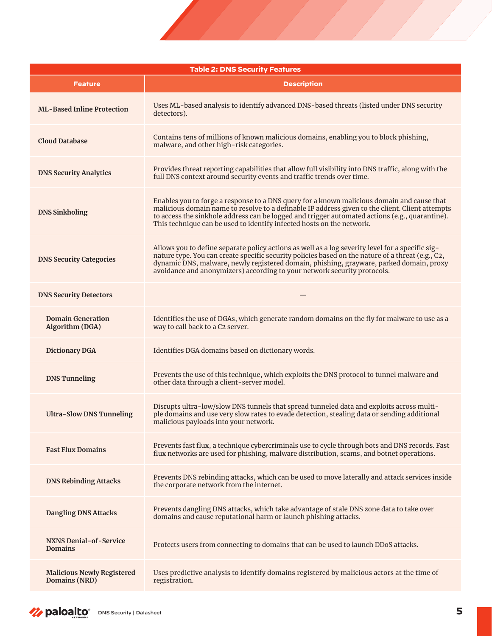| <b>Table 2: DNS Security Features</b>                     |                                                                                                                                                                                                                                                                                                                                                                              |  |
|-----------------------------------------------------------|------------------------------------------------------------------------------------------------------------------------------------------------------------------------------------------------------------------------------------------------------------------------------------------------------------------------------------------------------------------------------|--|
| <b>Feature</b>                                            | <b>Description</b>                                                                                                                                                                                                                                                                                                                                                           |  |
| <b>ML-Based Inline Protection</b>                         | Uses ML-based analysis to identify advanced DNS-based threats (listed under DNS security<br>detectors).                                                                                                                                                                                                                                                                      |  |
| <b>Cloud Database</b>                                     | Contains tens of millions of known malicious domains, enabling you to block phishing,<br>malware, and other high-risk categories.                                                                                                                                                                                                                                            |  |
| <b>DNS Security Analytics</b>                             | Provides threat reporting capabilities that allow full visibility into DNS traffic, along with the<br>full DNS context around security events and traffic trends over time.                                                                                                                                                                                                  |  |
| <b>DNS Sinkholing</b>                                     | Enables you to forge a response to a DNS query for a known malicious domain and cause that<br>malicious domain name to resolve to a definable IP address given to the client. Client attempts<br>to access the sinkhole address can be logged and trigger automated actions (e.g., quarantine).<br>This technique can be used to identify infected hosts on the network.     |  |
| <b>DNS Security Categories</b>                            | Allows you to define separate policy actions as well as a log severity level for a specific sig-<br>nature type. You can create specific security policies based on the nature of a threat (e.g., C2,<br>dynamic DNS, malware, newly registered domain, phishing, grayware, parked domain, proxy<br>avoidance and anonymizers) according to your network security protocols. |  |
| <b>DNS Security Detectors</b>                             |                                                                                                                                                                                                                                                                                                                                                                              |  |
| <b>Domain Generation</b><br>Algorithm (DGA)               | Identifies the use of DGAs, which generate random domains on the fly for malware to use as a<br>way to call back to a C2 server.                                                                                                                                                                                                                                             |  |
| <b>Dictionary DGA</b>                                     | Identifies DGA domains based on dictionary words.                                                                                                                                                                                                                                                                                                                            |  |
| <b>DNS Tunneling</b>                                      | Prevents the use of this technique, which exploits the DNS protocol to tunnel malware and<br>other data through a client-server model.                                                                                                                                                                                                                                       |  |
| <b>Ultra-Slow DNS Tunneling</b>                           | Disrupts ultra-low/slow DNS tunnels that spread tunneled data and exploits across multi-<br>ple domains and use very slow rates to evade detection, stealing data or sending additional<br>malicious payloads into your network.                                                                                                                                             |  |
| <b>Fast Flux Domains</b>                                  | Prevents fast flux, a technique cybercriminals use to cycle through bots and DNS records. Fast<br>flux networks are used for phishing, malware distribution, scams, and botnet operations.                                                                                                                                                                                   |  |
| <b>DNS Rebinding Attacks</b>                              | Prevents DNS rebinding attacks, which can be used to move laterally and attack services inside<br>the corporate network from the internet.                                                                                                                                                                                                                                   |  |
| <b>Dangling DNS Attacks</b>                               | Prevents dangling DNS attacks, which take advantage of stale DNS zone data to take over<br>domains and cause reputational harm or launch phishing attacks.                                                                                                                                                                                                                   |  |
| <b>NXNS Denial-of-Service</b><br><b>Domains</b>           | Protects users from connecting to domains that can be used to launch DDoS attacks.                                                                                                                                                                                                                                                                                           |  |
| <b>Malicious Newly Registered</b><br><b>Domains (NRD)</b> | Uses predictive analysis to identify domains registered by malicious actors at the time of<br>registration.                                                                                                                                                                                                                                                                  |  |